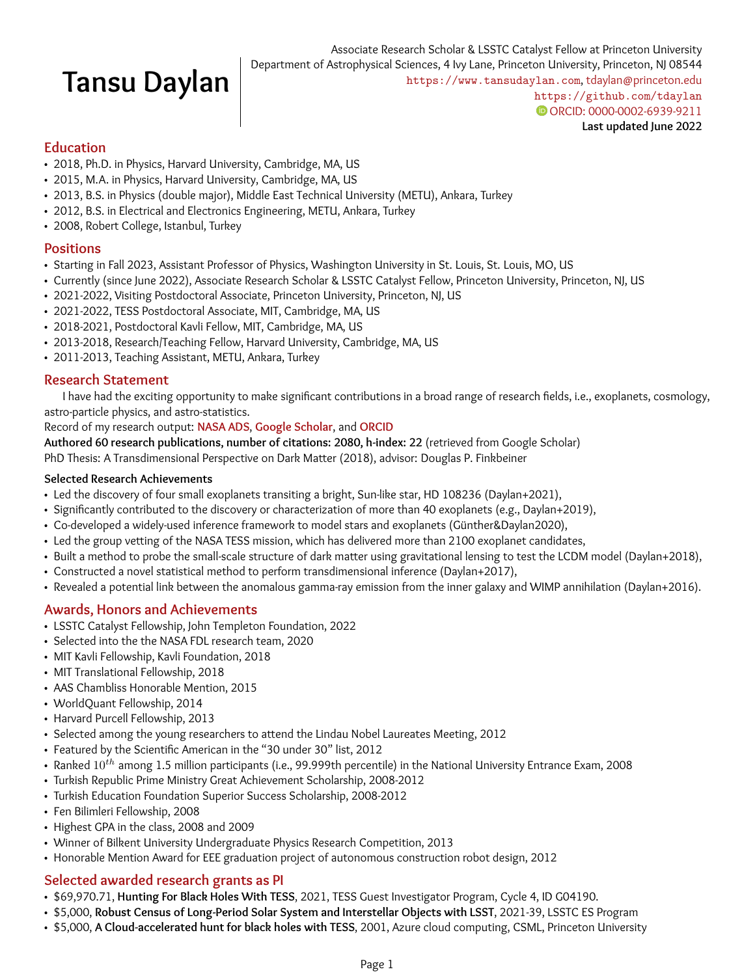# **Tansu Daylan**

#### **Education**

- 2018, Ph.D. in Physics, Harvard University, Cambridge, MA, US
- 2015, M.A. in Physics, Harvard University, Cambridge, MA, US
- 2013, B.S. in Physics (double major), Middle East Technical University (METU), Ankara, Turkey
- 2012, B.S. in Electrical and Electronics Engineering, METU, Ankara, Turkey
- 2008, Robert College, Istanbul, Turkey

#### **Positions**

- Starting in Fall 2023, Assistant Professor of Physics, Washington University in St. Louis, St. Louis, MO, US
- Currently (since June 2022), Associate Research Scholar & LSSTC Catalyst Fellow, Princeton University, Princeton, NJ, US
- 2021-2022, Visiting Postdoctoral Associate, Princeton University, Princeton, NJ, US
- 2021-2022, TESS Postdoctoral Associate, MIT, Cambridge, MA, US
- 2018-2021, Postdoctoral Kavli Fellow, MIT, Cambridge, MA, US
- 2013-2018, Research/Teaching Fellow, Harvard University, Cambridge, MA, US
- 2011-2013, Teaching Assistant, METU, Ankara, Turkey

#### **Research Statement**

I have had the exciting opportunity to make significant contributions in a broad range of research fields, i.e., exoplanets, cosmology, astro-particle physics, and astro-statistics.

Record of my research output: **[NASA ADS](https://ui.adsabs.harvard.edu/search/q=%20author%3A%22daylan%2C%20tansu%22&sort=date%20desc%2C%20bibcode%20desc&p_=0)**, **[Google Scholar](https://scholar.google.com/citations?user=1iduKLwAAAAJ&hl=en)**, and **[ORCID](https://orcid.org/0000-0002-6939-9211)**

**Authored 60 research publications, number of citations: 2080, h-index: 22** (retrieved from Google Scholar)

PhD Thesis: A Transdimensional Perspective on Dark Matter (2018), advisor: Douglas P. Finkbeiner

#### **Selected Research Achievements**

- Led the discovery of four small exoplanets transiting a bright, Sun-like star, HD 108236 (Daylan+2021),
- Significantly contributed to the discovery or characterization of more than 40 exoplanets (e.g., Daylan+2019),
- Co-developed a widely-used inference framework to model stars and exoplanets (Günther&Daylan2020),
- Led the group vetting of the NASA TESS mission, which has delivered more than 2100 exoplanet candidates,
- Built a method to probe the small-scale structure of dark matter using gravitational lensing to test the LCDM model (Daylan+2018),
- Constructed a novel statistical method to perform transdimensional inference (Daylan+2017),
- Revealed a potential link between the anomalous gamma-ray emission from the inner galaxy and WIMP annihilation (Daylan+2016).

#### **Awards, Honors and Achievements**

- LSSTC Catalyst Fellowship, John Templeton Foundation, 2022
- Selected into the the NASA FDL research team, 2020
- MIT Kavli Fellowship, Kavli Foundation, 2018
- MIT Translational Fellowship, 2018
- AAS Chambliss Honorable Mention, 2015
- WorldQuant Fellowship, 2014
- Harvard Purcell Fellowship, 2013
- Selected among the young researchers to attend the Lindau Nobel Laureates Meeting, 2012
- Featured by the Scientific American in the "30 under 30" list, 2012
- Ranked  $10^{th}$  among 1.5 million participants (i.e., 99.999th percentile) in the National University Entrance Exam, 2008
- Turkish Republic Prime Ministry Great Achievement Scholarship, 2008-2012
- Turkish Education Foundation Superior Success Scholarship, 2008-2012
- Fen Bilimleri Fellowship, 2008
- Highest GPA in the class, 2008 and 2009
- Winner of Bilkent University Undergraduate Physics Research Competition, 2013
- Honorable Mention Award for EEE graduation project of autonomous construction robot design, 2012

#### **Selected awarded research grants as PI**

- \$69,970.71, **Hunting For Black Holes With TESS**, 2021, TESS Guest Investigator Program, Cycle 4, ID G04190.
- \$5,000, **Robust Census of Long-Period Solar System and Interstellar Objects with LSST**, 2021-39, LSSTC ES Program
- \$5,000, **A Cloud-accelerated hunt for black holes with TESS**, 2001, Azure cloud computing, CSML, Princeton University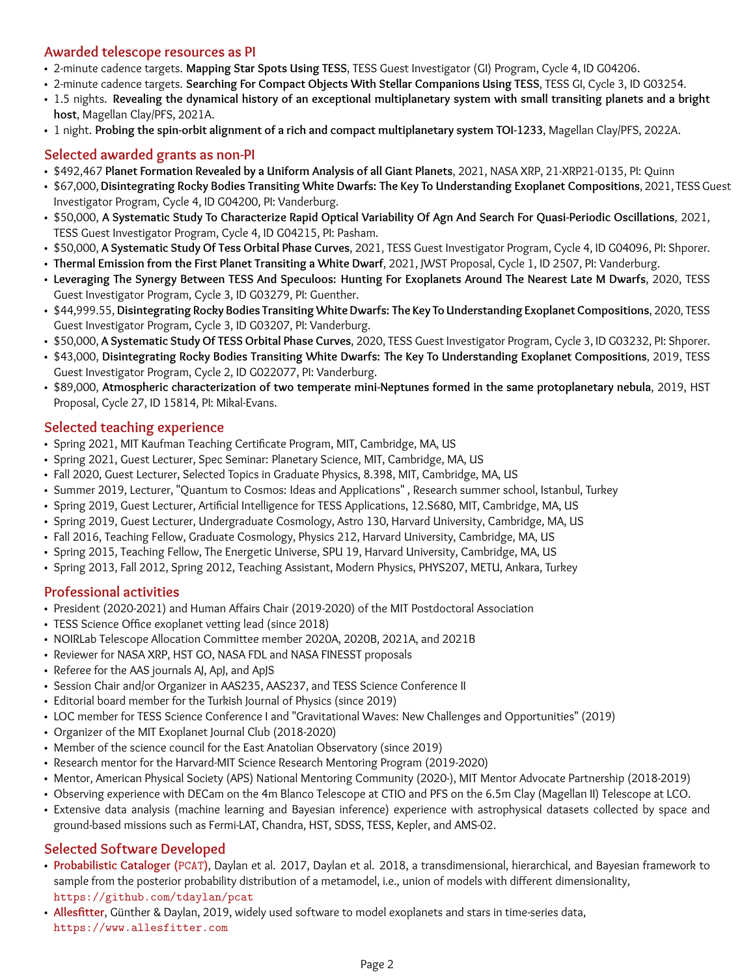#### **Awarded telescope resources as PI**

- 2-minute cadence targets. **Mapping Star Spots Using TESS**, TESS Guest Investigator (GI) Program, Cycle 4, ID G04206.
- 2-minute cadence targets. **Searching For Compact Objects With Stellar Companions Using TESS**, TESS GI, Cycle 3, ID G03254.
- 1.5 nights. **Revealing the dynamical history of an exceptional multiplanetary system with small transiting planets and a bright host**, Magellan Clay/PFS, 2021A.
- 1 night. **Probing the spin-orbit alignment of a rich and compact multiplanetary system TOI-1233**, Magellan Clay/PFS, 2022A.

## **Selected awarded grants as non-PI**

- \$492,467 **Planet Formation Revealed by a Uniform Analysis of all Giant Planets**, 2021, NASA XRP, 21-XRP21-0135, PI: Quinn
- \$67,000, **Disintegrating Rocky Bodies Transiting White Dwarfs: The Key To Understanding Exoplanet Compositions**, 2021, TESS Guest Investigator Program, Cycle 4, ID G04200, PI: Vanderburg.
- \$50,000, **A Systematic Study To Characterize Rapid Optical Variability Of Agn And Search For Quasi-Periodic Oscillations**, 2021, TESS Guest Investigator Program, Cycle 4, ID G04215, PI: Pasham.
- \$50,000, **A Systematic Study Of Tess Orbital Phase Curves**, 2021, TESS Guest Investigator Program, Cycle 4, ID G04096, PI: Shporer.
- **Thermal Emission from the First Planet Transiting a White Dwarf**, 2021, JWST Proposal, Cycle 1, ID 2507, PI: Vanderburg.
- **Leveraging The Synergy Between TESS And Speculoos: Hunting For Exoplanets Around The Nearest Late M Dwarfs**, 2020, TESS Guest Investigator Program, Cycle 3, ID G03279, PI: Guenther.
- \$44,999.55, **Disintegrating Rocky Bodies Transiting White Dwarfs: The Key To Understanding Exoplanet Compositions**, 2020, TESS Guest Investigator Program, Cycle 3, ID G03207, PI: Vanderburg.
- \$50,000, **A Systematic Study Of TESS Orbital Phase Curves**, 2020, TESS Guest Investigator Program, Cycle 3, ID G03232, PI: Shporer.
- \$43,000, **Disintegrating Rocky Bodies Transiting White Dwarfs: The Key To Understanding Exoplanet Compositions**, 2019, TESS Guest Investigator Program, Cycle 2, ID G022077, PI: Vanderburg.
- \$89,000, **Atmospheric characterization of two temperate mini-Neptunes formed in the same protoplanetary nebula**, 2019, HST Proposal, Cycle 27, ID 15814, PI: Mikal-Evans.

#### **Selected teaching experience**

- Spring 2021, MIT Kaufman Teaching Certificate Program, MIT, Cambridge, MA, US
- Spring 2021, Guest Lecturer, Spec Seminar: Planetary Science, MIT, Cambridge, MA, US
- Fall 2020, Guest Lecturer, Selected Topics in Graduate Physics, 8.398, MIT, Cambridge, MA, US
- Summer 2019, Lecturer, "Quantum to Cosmos: Ideas and Applications" , Research summer school, Istanbul, Turkey
- Spring 2019, Guest Lecturer, Artificial Intelligence for TESS Applications, 12.S680, MIT, Cambridge, MA, US
- Spring 2019, Guest Lecturer, Undergraduate Cosmology, Astro 130, Harvard University, Cambridge, MA, US
- Fall 2016, Teaching Fellow, Graduate Cosmology, Physics 212, Harvard University, Cambridge, MA, US
- Spring 2015, Teaching Fellow, The Energetic Universe, SPU 19, Harvard University, Cambridge, MA, US
- Spring 2013, Fall 2012, Spring 2012, Teaching Assistant, Modern Physics, PHYS207, METU, Ankara, Turkey

#### **Professional activities**

- President (2020-2021) and Human Affairs Chair (2019-2020) of the MIT Postdoctoral Association
- TESS Science Office exoplanet vetting lead (since 2018)
- NOIRLab Telescope Allocation Committee member 2020A, 2020B, 2021A, and 2021B
- Reviewer for NASA XRP, HST GO, NASA FDL and NASA FINESST proposals
- Referee for the AAS journals AJ, ApJ, and ApJS
- Session Chair and/or Organizer in AAS235, AAS237, and TESS Science Conference II
- Editorial board member for the Turkish Journal of Physics (since 2019)
- LOC member for TESS Science Conference I and "Gravitational Waves: New Challenges and Opportunities" (2019)
- Organizer of the MIT Exoplanet Journal Club (2018-2020)
- Member of the science council for the East Anatolian Observatory (since 2019)
- Research mentor for the Harvard-MIT Science Research Mentoring Program (2019-2020)
- Mentor, American Physical Society (APS) National Mentoring Community (2020-), MIT Mentor Advocate Partnership (2018-2019)
- Observing experience with DECam on the 4m Blanco Telescope at CTIO and PFS on the 6.5m Clay (Magellan II) Telescope at LCO.
- Extensive data analysis (machine learning and Bayesian inference) experience with astrophysical datasets collected by space and ground-based missions such as Fermi-LAT, Chandra, HST, SDSS, TESS, Kepler, and AMS-02.

#### **Selected Software Developed**

- **Probabilistic Cataloger (**PCAT**)**, Daylan et al. 2017, Daylan et al. 2018, a transdimensional, hierarchical, and Bayesian framework to sample from the posterior probability distribution of a metamodel, i.e., union of models with different dimensionality, <https://github.com/tdaylan/pcat>
- **Allesfitter**, Günther & Daylan, 2019, widely used software to model exoplanets and stars in time-series data, <https://www.allesfitter.com>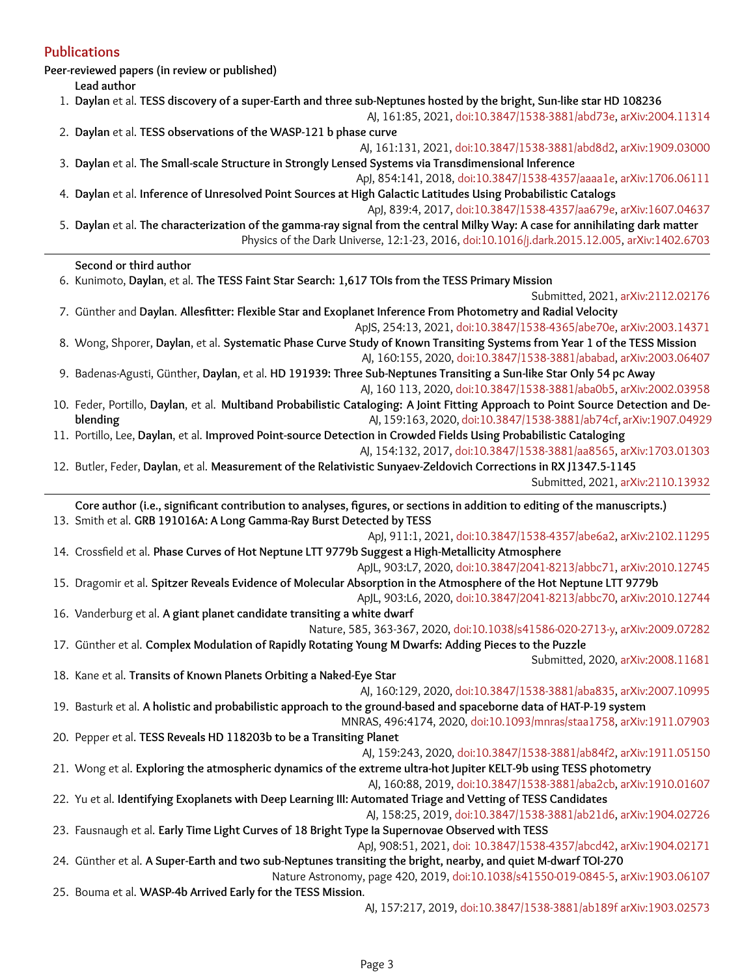#### **Publications**

**Peer-reviewed papers (in review or published)**

**Lead author**

- 1. **Daylan** et al. **TESS discovery of a super-Earth and three sub-Neptunes hosted by the bright, Sun-like star HD 108236**
- AJ, 161:85, 2021, [doi:10.3847/1538-3881/abd73e,](https://iopscience.iop.org/article/10.3847/1538-3881/abd73e) [arXiv:2004.11314](https://arxiv.org/abs/2004.11314) 2. **Daylan** et al. **TESS observations of the WASP-121 b phase curve**
- AJ, 161:131, 2021, [doi:10.3847/1538-3881/abd8d2,](https://iopscience.iop.org/article/10.3847/1538-3881/abd8d2) [arXiv:1909.03000](https://arxiv.org/abs/1909.03000) 3. **Daylan** et al. **The Small-scale Structure in Strongly Lensed Systems via Transdimensional Inference**

ApJ, 854:141, 2018, [doi:10.3847/1538-4357/aaaa1e,](https://iopscience.iop.org/article/10.3847/1538-4357/aaaa1e) [arXiv:1706.06111](https://arxiv.org/abs/1706.06111) 4. **Daylan** et al. **Inference of Unresolved Point Sources at High Galactic Latitudes Using Probabilistic Catalogs**

- ApJ, 839:4, 2017, [doi:10.3847/1538-4357/aa679e,](https://iopscience.iop.org/article/10.3847/1538-4357/aa679e) [arXiv:1607.04637](https://arxiv.org/abs/1607.04637)
- 5. **Daylan** et al. **The characterization of the gamma-ray signal from the central Milky Way: A case for annihilating dark matter** Physics of the Dark Universe, 12:1-23, 2016, [doi:10.1016/j.dark.2015.12.005,](https://www.sciencedirect.com/science/article/abs/pii/S2212686416000030?via%3Dihub) [arXiv:1402.6703](https://arxiv.org/abs/1402.6703)

#### **Second or third author**

6. Kunimoto, **Daylan**, et al. **The TESS Faint Star Search: 1,617 TOIs from the TESS Primary Mission**

- Submitted, 2021, [arXiv:2112.02176](https://arxiv.org/abs/2112.02176) 7. Günther and **Daylan**. **Allesfitter: Flexible Star and Exoplanet Inference From Photometry and Radial Velocity** ApJS, 254:13, 2021, [doi:10.3847/1538-4365/abe70e,](https://iopscience.iop.org/article/10.3847/1538-4365/abe70e) [arXiv:2003.14371](https://arxiv.org/abs/2003.14371)
- 8. Wong, Shporer, **Daylan**, et al. **Systematic Phase Curve Study of Known Transiting Systems from Year 1 of the TESS Mission** AJ, 160:155, 2020, [doi:10.3847/1538-3881/ababad,](https://iopscience.iop.org/article/10.3847/1538-3881/ababad) [arXiv:2003.06407](https://arxiv.org/abs/2003.06407)

9. Badenas-Agusti, Günther, **Daylan**, et al. **HD 191939: Three Sub-Neptunes Transiting a Sun-like Star Only 54 pc Away** AJ, 160 113, 2020, [doi:10.3847/1538-3881/aba0b5,](https://iopscience.iop.org/article/10.3847/1538-3881/aba0b5) [arXiv:2002.03958](https://arxiv.org/abs/2002.03958)

- 10. Feder, Portillo, **Daylan**, et al. **Multiband Probabilistic Cataloging: A Joint Fitting Approach to Point Source Detection and Deblending AJ, 159:163, 2020, [doi:10.3847/1538-3881/ab74cf,](https://iopscience.iop.org/article/10.3847/1538-3881/ab74cf) [arXiv:1907.04929](https://arxiv.org/abs/1907.04929)**
- 11. Portillo, Lee, **Daylan**, et al. **Improved Point-source Detection in Crowded Fields Using Probabilistic Cataloging** AJ, 154:132, 2017, [doi:10.3847/1538-3881/aa8565,](https://iopscience.iop.org/article/10.3847/1538-3881/aa8565) [arXiv:1703.01303](https://arxiv.org/abs/1703.01303)
- 12. Butler, Feder, **Daylan**, et al. **Measurement of the Relativistic Sunyaev-Zeldovich Corrections in RX J1347.5-1145** Submitted, 2021, [arXiv:2110.13932](https://arxiv.org/abs/2110.13932)

**Core author (i.e., significant contribution to analyses, figures, or sections in addition to editing of the manuscripts.)** 13. Smith et al. **GRB 191016A: A Long Gamma-Ray Burst Detected by TESS** ApJ, 911:1, 2021, [doi:10.3847/1538-4357/abe6a2,](https://iopscience.iop.org/article/10.3847/1538-4357/abe6a2) [arXiv:2102.11295](https://arxiv.org/abs/2102.11295) 14. Crossfield et al. **Phase Curves of Hot Neptune LTT 9779b Suggest a High-Metallicity Atmosphere**

- ApJL, 903:L7, 2020, [doi:10.3847/2041-8213/abbc71,](https://iopscience.iop.org/article/10.3847/2041-8213/abbc71) [arXiv:2010.12745](https://arxiv.org/abs/2010.12745) 15. Dragomir et al. **Spitzer Reveals Evidence of Molecular Absorption in the Atmosphere of the Hot Neptune LTT 9779b**
- ApJL, 903:L6, 2020, [doi:10.3847/2041-8213/abbc70,](https://iopscience.iop.org/article/10.3847/2041-8213/abbc70) [arXiv:2010.12744](https://arxiv.org/abs/2010.12744) 16. Vanderburg et al. **A giant planet candidate transiting a white dwarf**
- Nature, 585, 363-367, 2020, [doi:10.1038/s41586-020-2713-y,](https://www.nature.com/articles/s41586-020-2713-y) [arXiv:2009.07282](https://arxiv.org/abs/2009.07282) 17. Günther et al. **Complex Modulation of Rapidly Rotating Young M Dwarfs: Adding Pieces to the Puzzle**

Submitted, 2020, [arXiv:2008.11681](https://arxiv.org/abs/2008.11681)

18. Kane et al. **Transits of Known Planets Orbiting a Naked-Eye Star**

AJ, 160:129, 2020, [doi:10.3847/1538-3881/aba835,](https://iopscience.iop.org/article/10.3847/1538-3881/aba835) [arXiv:2007.10995](https://arxiv.org/abs/2007.10995) 19. Basturk et al. **A holistic and probabilistic approach to the ground-based and spaceborne data of HAT-P-19 system**

- MNRAS, 496:4174, 2020, [doi:10.1093/mnras/staa1758,](https://academic.oup.com/mnras/article-abstract/496/4/4174/5860289?redirectedFrom=fulltext) [arXiv:1911.07903](https://arxiv.org/abs/1911.07903) 20. Pepper et al. **TESS Reveals HD 118203b to be a Transiting Planet**
- AJ, 159:243, 2020, [doi:10.3847/1538-3881/ab84f2,](https://iopscience.iop.org/article/10.3847/1538-3881/ab84f2) [arXiv:1911.05150](https://arxiv.org/abs/1911.05150) 21. Wong et al. **Exploring the atmospheric dynamics of the extreme ultra-hot Jupiter KELT-9b using TESS photometry**

AJ, 160:88, 2019, [doi:10.3847/1538-3881/aba2cb,](https://iopscience.iop.org/article/10.3847/1538-3881/aba2cb) [arXiv:1910.01607](https://arxiv.org/abs/1910.01607) 22. Yu et al. **Identifying Exoplanets with Deep Learning III: Automated Triage and Vetting of TESS Candidates**

AJ, 158:25, 2019, [doi:10.3847/1538-3881/ab21d6,](https://iopscience.iop.org/article/10.3847/1538-3881/ab21d6) [arXiv:1904.02726](https://arxiv.org/abs/1904.02726) 23. Fausnaugh et al. **Early Time Light Curves of 18 Bright Type Ia Supernovae Observed with TESS**

ApJ, 908:51, 2021, [doi: 10.3847/1538-4357/abcd42,](https://iopscience.iop.org/article/10.3847/1538-4357/abcd42) [arXiv:1904.02171](https://arxiv.org/abs/1904.02171) 24. Günther et al. **A Super-Earth and two sub-Neptunes transiting the bright, nearby, and quiet M-dwarf TOI-270**

Nature Astronomy, page 420, 2019, [doi:10.1038/s41550-019-0845-5,](https://www.nature.com/articles/s41550-019-0845-5) [arXiv:1903.06107](https://arxiv.org/abs/1903.06107) 25. Bouma et al. **WASP-4b Arrived Early for the TESS Mission**.

AJ, 157:217, 2019, [doi:10.3847/1538-3881/ab189f](https://iopscience.iop.org/article/10.3847/1538-3881/ab189f) [arXiv:1903.02573](https://arxiv.org/abs/1903.02573)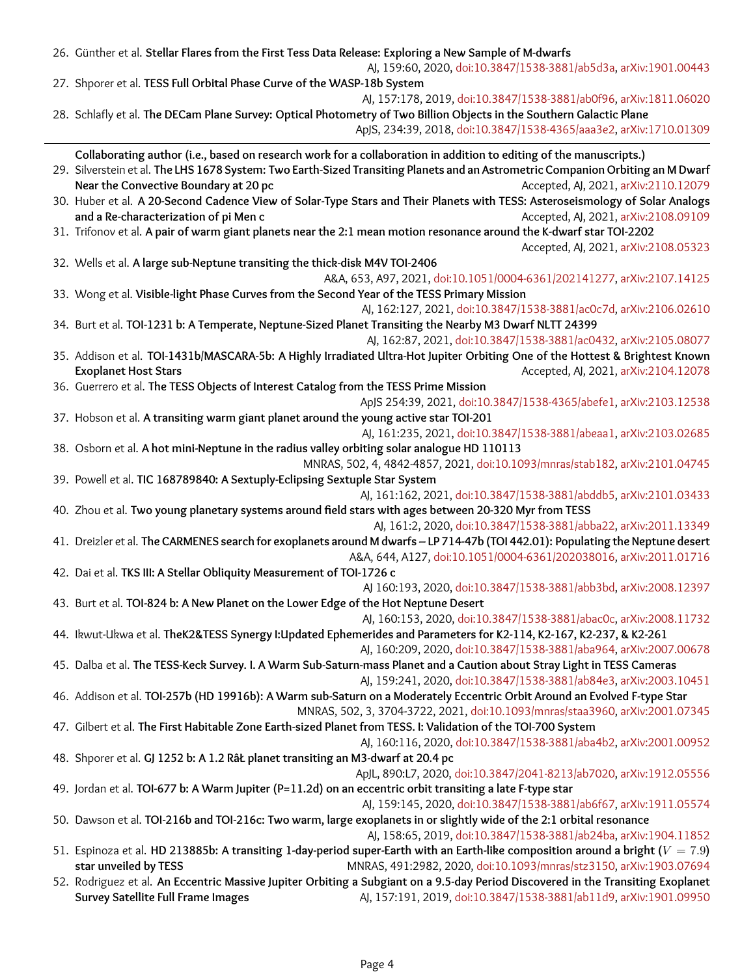| 26. Günther et al. Stellar Flares from the First Tess Data Release: Exploring a New Sample of M-dwarfs<br>AJ, 159:60, 2020, doi:10.3847/1538-3881/ab5d3a, arXiv:1901.00443 |                                                                              |  |
|----------------------------------------------------------------------------------------------------------------------------------------------------------------------------|------------------------------------------------------------------------------|--|
| 27. Shporer et al. TESS Full Orbital Phase Curve of the WASP-18b System                                                                                                    |                                                                              |  |
|                                                                                                                                                                            | AJ, 157:178, 2019, doi:10.3847/1538-3881/ab0f96, arXiv:1811.06020            |  |
| 28. Schlafly et al. The DECam Plane Survey: Optical Photometry of Two Billion Objects in the Southern Galactic Plane                                                       |                                                                              |  |
|                                                                                                                                                                            | ApJS, 234:39, 2018, doi:10.3847/1538-4365/aaa3e2, arXiv:1710.01309           |  |
| Collaborating author (i.e., based on research work for a collaboration in addition to editing of the manuscripts.)                                                         |                                                                              |  |
| 29. Silverstein et al. The LHS 1678 System: Two Earth-Sized Transiting Planets and an Astrometric Companion Orbiting an M Dwarf                                            |                                                                              |  |
| Near the Convective Boundary at 20 pc                                                                                                                                      | Accepted, AJ, 2021, arXiv:2110.12079                                         |  |
| 30. Huber et al. A 20-Second Cadence View of Solar-Type Stars and Their Planets with TESS: Asteroseismology of Solar Analogs                                               |                                                                              |  |
| and a Re-characterization of pi Men c                                                                                                                                      | Accepted, AJ, 2021, arXiv:2108.09109                                         |  |
| 31. Trifonov et al. A pair of warm giant planets near the 2:1 mean motion resonance around the K-dwarf star TOI-2202                                                       |                                                                              |  |
|                                                                                                                                                                            | Accepted, AJ, 2021, arXiv:2108.05323                                         |  |
| 32. Wells et al. A large sub-Neptune transiting the thick-disk M4V TOI-2406                                                                                                |                                                                              |  |
| A&A, 653, A97, 2021, doi:10.1051/0004-6361/202141277, arXiv:2107.14125                                                                                                     |                                                                              |  |
| 33. Wong et al. Visible-light Phase Curves from the Second Year of the TESS Primary Mission                                                                                |                                                                              |  |
|                                                                                                                                                                            | AJ, 162:127, 2021, doi:10.3847/1538-3881/ac0c7d, arXiv:2106.02610            |  |
| 34. Burt et al. TOI-1231 b: A Temperate, Neptune-Sized Planet Transiting the Nearby M3 Dwarf NLTT 24399                                                                    |                                                                              |  |
|                                                                                                                                                                            | AJ, 162:87, 2021, doi:10.3847/1538-3881/ac0432, arXiv:2105.08077             |  |
| 35. Addison et al. TOI-1431b/MASCARA-5b: A Highly Irradiated Ultra-Hot Jupiter Orbiting One of the Hottest & Brightest Known                                               |                                                                              |  |
| <b>Exoplanet Host Stars</b>                                                                                                                                                | Accepted, AJ, 2021, arXiv:2104.12078                                         |  |
| 36. Guerrero et al. The TESS Objects of Interest Catalog from the TESS Prime Mission                                                                                       |                                                                              |  |
|                                                                                                                                                                            | ApJS 254:39, 2021, doi:10.3847/1538-4365/abefe1, arXiv:2103.12538            |  |
| 37. Hobson et al. A transiting warm giant planet around the young active star TOI-201                                                                                      |                                                                              |  |
|                                                                                                                                                                            | AJ, 161:235, 2021, doi:10.3847/1538-3881/abeaa1, arXiv:2103.02685            |  |
| 38. Osborn et al. A hot mini-Neptune in the radius valley orbiting solar analogue HD 110113                                                                                |                                                                              |  |
|                                                                                                                                                                            | MNRAS, 502, 4, 4842-4857, 2021, doi:10.1093/mnras/stab182, arXiv:2101.04745  |  |
| 39. Powell et al. TIC 168789840: A Sextuply-Eclipsing Sextuple Star System                                                                                                 |                                                                              |  |
|                                                                                                                                                                            | AJ, 161:162, 2021, doi:10.3847/1538-3881/abddb5, arXiv:2101.03433            |  |
| 40. Zhou et al. Two young planetary systems around field stars with ages between 20-320 Myr from TESS                                                                      |                                                                              |  |
|                                                                                                                                                                            | AJ, 161:2, 2020, doi:10.3847/1538-3881/abba22, arXiv:2011.13349              |  |
| 41. Dreizler et al. The CARMENES search for exoplanets around M dwarfs - LP 714-47b (TOI 442.01): Populating the Neptune desert                                            |                                                                              |  |
|                                                                                                                                                                            | A&A, 644, A127, doi:10.1051/0004-6361/202038016, arXiv:2011.01716            |  |
| 42. Dai et al. TKS III: A Stellar Obliquity Measurement of TOI-1726 c                                                                                                      |                                                                              |  |
|                                                                                                                                                                            | AJ 160:193, 2020, doi:10.3847/1538-3881/abb3bd, arXiv:2008.12397             |  |
| 43. Burt et al. TOI-824 b: A New Planet on the Lower Edge of the Hot Neptune Desert                                                                                        |                                                                              |  |
|                                                                                                                                                                            | AJ, 160:153, 2020, doi:10.3847/1538-3881/abac0c, arXiv:2008.11732            |  |
| 44. Ikwut-Ukwa et al. TheK2&TESS Synergy I:Updated Ephemerides and Parameters for K2-114, K2-167, K2-237, & K2-261                                                         |                                                                              |  |
|                                                                                                                                                                            | AJ, 160:209, 2020, doi:10.3847/1538-3881/aba964, arXiv:2007.00678            |  |
| 45. Dalba et al. The TESS-Keck Survey. I. A Warm Sub-Saturn-mass Planet and a Caution about Stray Light in TESS Cameras                                                    |                                                                              |  |
|                                                                                                                                                                            | AJ, 159:241, 2020, doi:10.3847/1538-3881/ab84e3, arXiv:2003.10451            |  |
| 46. Addison et al. TOI-257b (HD 19916b): A Warm sub-Saturn on a Moderately Eccentric Orbit Around an Evolved F-type Star                                                   |                                                                              |  |
|                                                                                                                                                                            | MNRAS, 502, 3, 3704-3722, 2021, doi:10.1093/mnras/staa3960, arXiv:2001.07345 |  |
| 47. Gilbert et al. The First Habitable Zone Earth-sized Planet from TESS. I: Validation of the TOI-700 System                                                              |                                                                              |  |
|                                                                                                                                                                            | AJ, 160:116, 2020, doi:10.3847/1538-3881/aba4b2, arXiv:2001.00952            |  |
| 48. Shporer et al. GJ 1252 b: A 1.2 Rat planet transiting an M3-dwarf at 20.4 pc                                                                                           |                                                                              |  |
|                                                                                                                                                                            | ApJL, 890:L7, 2020, doi:10.3847/2041-8213/ab7020, arXiv:1912.05556           |  |
| 49. Jordan et al. TOI-677 b: A Warm Jupiter (P=11.2d) on an eccentric orbit transiting a late F-type star                                                                  |                                                                              |  |
|                                                                                                                                                                            | AJ, 159:145, 2020, doi:10.3847/1538-3881/ab6f67, arXiv:1911.05574            |  |
| 50. Dawson et al. TOI-216b and TOI-216c: Two warm, large exoplanets in or slightly wide of the 2:1 orbital resonance                                                       |                                                                              |  |
|                                                                                                                                                                            | AJ, 158:65, 2019, doi:10.3847/1538-3881/ab24ba, arXiv:1904.11852             |  |
| 51. Espinoza et al. HD 213885b: A transiting 1-day-period super-Earth with an Earth-like composition around a bright ( $V = 7.9$ )                                         |                                                                              |  |
| star unveiled by TESS                                                                                                                                                      | MNRAS, 491:2982, 2020, doi:10.1093/mnras/stz3150, arXiv:1903.07694           |  |
| 52. Rodriguez et al. An Eccentric Massive Jupiter Orbiting a Subgiant on a 9.5-day Period Discovered in the Transiting Exoplanet                                           |                                                                              |  |
| <b>Survey Satellite Full Frame Images</b>                                                                                                                                  | AJ, 157:191, 2019, doi:10.3847/1538-3881/ab11d9, arXiv:1901.09950            |  |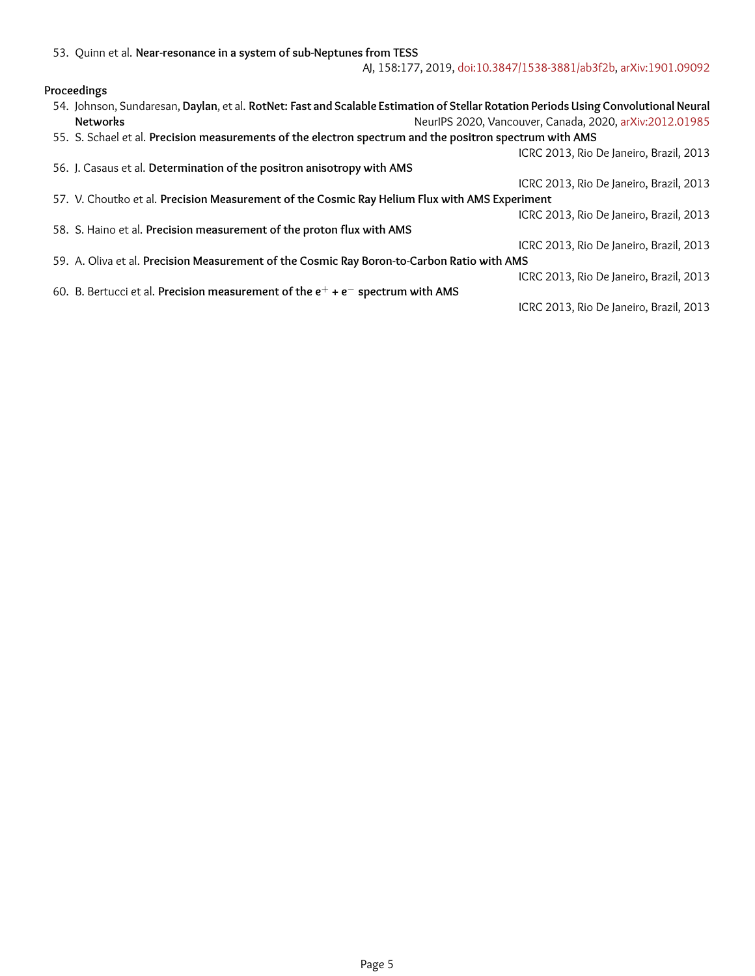### **Proceedings**

|                                                                        | 54. Johnson, Sundaresan, Daylan, et al. RotNet: Fast and Scalable Estimation of Stellar Rotation Periods Using Convolutional Neural |                                                         |  |
|------------------------------------------------------------------------|-------------------------------------------------------------------------------------------------------------------------------------|---------------------------------------------------------|--|
|                                                                        | <b>Networks</b>                                                                                                                     | NeurlPS 2020, Vancouver, Canada, 2020, arXiv:2012.01985 |  |
|                                                                        | 55. S. Schael et al. Precision measurements of the electron spectrum and the positron spectrum with AMS                             |                                                         |  |
|                                                                        |                                                                                                                                     | ICRC 2013, Rio De Janeiro, Brazil, 2013                 |  |
| 56. J. Casaus et al. Determination of the positron anisotropy with AMS |                                                                                                                                     |                                                         |  |
|                                                                        |                                                                                                                                     | ICRC 2013, Rio De Janeiro, Brazil, 2013                 |  |
|                                                                        | 57. V. Choutko et al. Precision Measurement of the Cosmic Ray Helium Flux with AMS Experiment                                       |                                                         |  |
|                                                                        |                                                                                                                                     | ICRC 2013, Rio De Janeiro, Brazil, 2013                 |  |
| 58. S. Haino et al. Precision measurement of the proton flux with AMS  |                                                                                                                                     |                                                         |  |
|                                                                        |                                                                                                                                     | ICRC 2013, Rio De Janeiro, Brazil, 2013                 |  |
|                                                                        | 59. A. Oliva et al. Precision Measurement of the Cosmic Ray Boron-to-Carbon Ratio with AMS                                          |                                                         |  |
|                                                                        |                                                                                                                                     | ICRC 2013, Rio De Janeiro, Brazil, 2013                 |  |
|                                                                        | 60. B. Bertucci et al. Precision measurement of the $e^+ + e^-$ spectrum with AMS                                                   |                                                         |  |
|                                                                        |                                                                                                                                     | ICRC 2013, Rio De Janeiro, Brazil, 2013                 |  |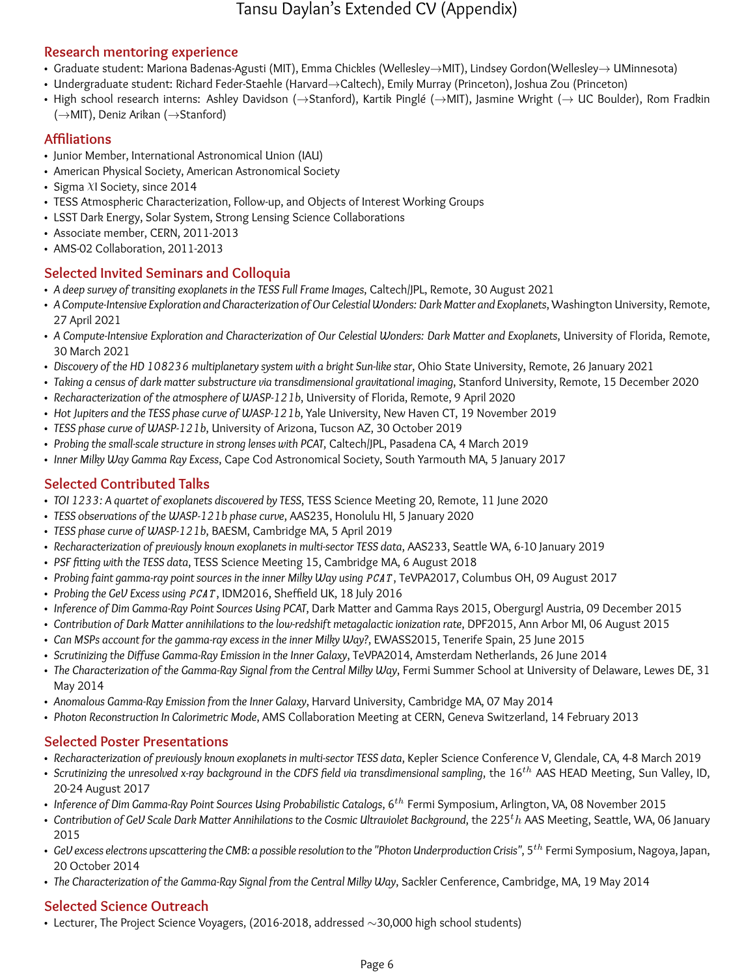# Tansu Daylan's Extended CV (Appendix)

## **Research mentoring experience**

- Graduate student: Mariona Badenas-Agusti (MIT), Emma Chickles (Wellesley→MIT), Lindsey Gordon(Wellesley→ UMinnesota)
- Undergraduate student: Richard Feder-Staehle (Harvard→Caltech), Emily Murray (Princeton), Joshua Zou (Princeton)
- High school research interns: Ashley Davidson (→Stanford), Kartik Pinglé (→MIT), Jasmine Wright (→ UC Boulder), Rom Fradkin (→MIT), Deniz Arikan (→Stanford)

## **Affiliations**

- Junior Member, International Astronomical Union (IAU)
- American Physical Society, American Astronomical Society
- Sigma  $XI$  Society, since 2014
- TESS Atmospheric Characterization, Follow-up, and Objects of Interest Working Groups
- LSST Dark Energy, Solar System, Strong Lensing Science Collaborations
- Associate member, CERN, 2011-2013
- AMS-02 Collaboration, 2011-2013

## **Selected Invited Seminars and Colloquia**

- *A deep survey of transiting exoplanets in the TESS Full Frame Images*, Caltech/JPL, Remote, 30 August 2021
- *A Compute-Intensive Exploration and Characterization of Our Celestial Wonders: Dark Matter and Exoplanets*, Washington University, Remote, 27 April 2021
- *A Compute-Intensive Exploration and Characterization of Our Celestial Wonders: Dark Matter and Exoplanets*, University of Florida, Remote, 30 March 2021
- *Discovery of the HD 108236 multiplanetary system with a bright Sun-like star*, Ohio State University, Remote, 26 January 2021
- *Taking a census of dark matter substructure via transdimensional gravitational imaging*, Stanford University, Remote, 15 December 2020
- *Recharacterization of the atmosphere of WASP-121b*, University of Florida, Remote, 9 April 2020
- *Hot Jupiters and the TESS phase curve of WASP-121b*, Yale University, New Haven CT, 19 November 2019
- *TESS phase curve of WASP-121b*, University of Arizona, Tucson AZ, 30 October 2019
- *Probing the small-scale structure in strong lenses with PCAT*, Caltech/JPL, Pasadena CA, 4 March 2019
- *Inner Milky Way Gamma Ray Excess*, Cape Cod Astronomical Society, South Yarmouth MA, 5 January 2017

## **Selected Contributed Talks**

- *TOI 1233: A quartet of exoplanets discovered by TESS*, TESS Science Meeting 20, Remote, 11 June 2020
- *TESS observations of the WASP-121b phase curve*, AAS235, Honolulu HI, 5 January 2020
- *TESS phase curve of WASP-121b*, BAESM, Cambridge MA, 5 April 2019
- *Recharacterization of previously known exoplanets in multi-sector TESS data*, AAS233, Seattle WA, 6-10 January 2019
- *PSF fitting with the TESS data*, TESS Science Meeting 15, Cambridge MA, 6 August 2018
- *Probing faint gamma-ray point sources in the inner Milky Way using* PCAT , TeVPA2017, Columbus OH, 09 August 2017
- *Probing the GeV Excess using* PCAT , IDM2016, Sheffield UK, 18 July 2016
- *Inference of Dim Gamma-Ray Point Sources Using PCAT*, Dark Matter and Gamma Rays 2015, Obergurgl Austria, 09 December 2015
- *Contribution of Dark Matter annihilations to the low-redshift metagalactic ionization rate*, DPF2015, Ann Arbor MI, 06 August 2015
- *Can MSPs account for the gamma-ray excess in the inner Milky Way?*, EWASS2015, Tenerife Spain, 25 June 2015
- *Scrutinizing the Diffuse Gamma-Ray Emission in the Inner Galaxy*, TeVPA2014, Amsterdam Netherlands, 26 June 2014
- *The Characterization of the Gamma-Ray Signal from the Central Milky Way*, Fermi Summer School at University of Delaware, Lewes DE, 31 May 2014
- *Anomalous Gamma-Ray Emission from the Inner Galaxy*, Harvard University, Cambridge MA, 07 May 2014
- *Photon Reconstruction In Calorimetric Mode*, AMS Collaboration Meeting at CERN, Geneva Switzerland, 14 February 2013

## **Selected Poster Presentations**

- *Recharacterization of previously known exoplanets in multi-sector TESS data*, Kepler Science Conference V, Glendale, CA, 4-8 March 2019
- Scrutinizing the unresolved x-ray background in the CDFS field via transdimensional sampling, the 16<sup>th</sup> AAS HEAD Meeting, Sun Valley, ID, 20-24 August 2017
- Inference of Dim Gamma-Ray Point Sources Using Probabilistic Catalogs, 6<sup>th</sup> Fermi Symposium, Arlington, VA, 08 November 2015
- Contribution of GeV Scale Dark Matter Annihilations to the Cosmic Ultraviolet Background, the 225<sup>t</sup>h AAS Meeting, Seattle, WA, 06 January 2015
- GeV excess electrons upscattering the CMB: a possible resolution to the "Photon Underproduction Crisis", 5<sup>th</sup> Fermi Symposium, Nagoya, Japan, 20 October 2014
- *The Characterization of the Gamma-Ray Signal from the Central Milky Way*, Sackler Cenference, Cambridge, MA, 19 May 2014

## **Selected Science Outreach**

• Lecturer, The Project Science Voyagers, (2016-2018, addressed ∼30,000 high school students)